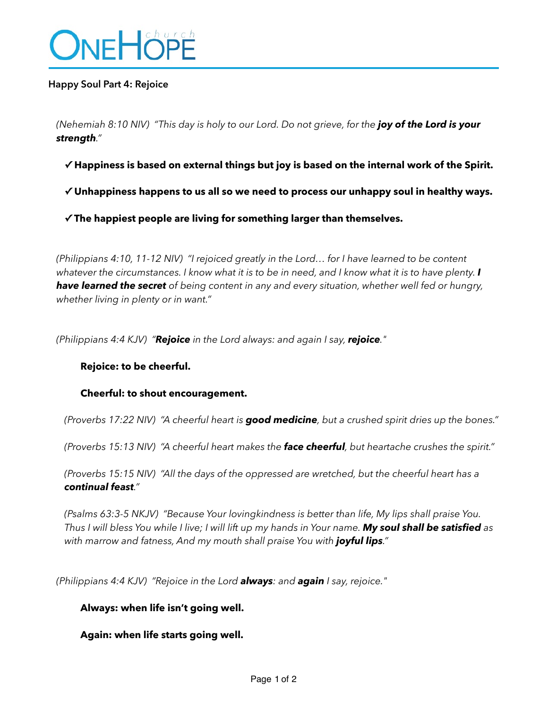

#### **Happy Soul Part 4: Rejoice**

*(Nehemiah 8:10 NIV) "This day is holy to our Lord. Do not grieve, for the joy of the Lord is your strength."* 

**✓ Happiness is based on external things but joy is based on the internal work of the Spirit.** 

**✓ Unhappiness happens to us all so we need to process our unhappy soul in healthy ways.** 

**✓ The happiest people are living for something larger than themselves.** 

*(Philippians 4:10, 11-12 NIV) "I rejoiced greatly in the Lord… for I have learned to be content whatever the circumstances. I know what it is to be in need, and I know what it is to have plenty. I have learned the secret of being content in any and every situation, whether well fed or hungry, whether living in plenty or in want."* 

*(Philippians 4:4 KJV) "Rejoice in the Lord always: and again I say, rejoice."* 

#### **Rejoice: to be cheerful.**

#### **Cheerful: to shout encouragement.**

*(Proverbs 17:22 NIV) "A cheerful heart is good medicine, but a crushed spirit dries up the bones."* 

*(Proverbs 15:13 NIV) "A cheerful heart makes the face cheerful, but heartache crushes the spirit."* 

*(Proverbs 15:15 NIV) "All the days of the oppressed are wretched, but the cheerful heart has a continual feast."* 

*(Psalms 63:3-5 NKJV) "Because Your lovingkindness is better than life, My lips shall praise You. Thus I will bless You while I live; I will lift up my hands in Your name. My soul shall be satisfied as with marrow and fatness, And my mouth shall praise You with joyful lips."* 

*(Philippians 4:4 KJV) "Rejoice in the Lord always: and again I say, rejoice."* 

# **Always: when life isn't going well.**

**Again: when life starts going well.**